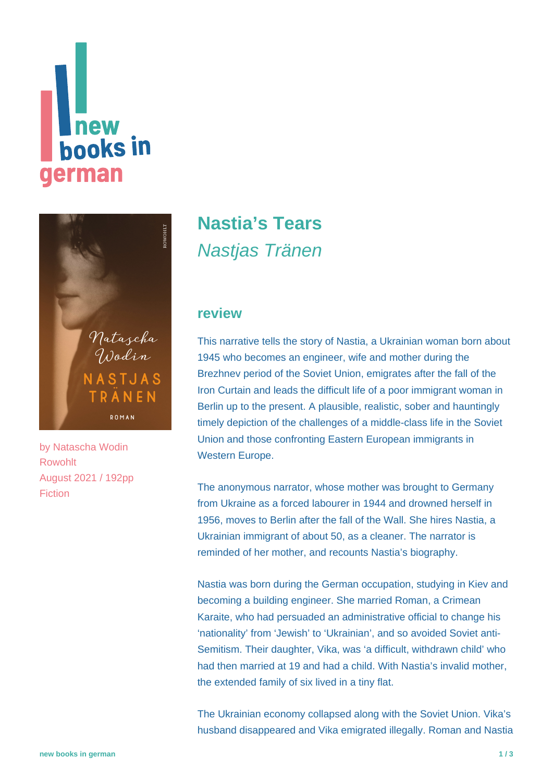# **Thew<br>books in** german



by [Natascha Wodin](https://www.new-books-in-german.com/recommendations/?searchInput=Natascha%20Wodin) Rowohlt August 2021 / 192pp Fiction

# **[Nastia's Tears](https://www.new-books-in-german.com/recommendations/nastias-tears/)** Nastjas Tränen

#### **review**

This narrative tells the story of Nastia, a Ukrainian woman born about 1945 who becomes an engineer, wife and mother during the Brezhnev period of the Soviet Union, emigrates after the fall of the Iron Curtain and leads the difficult life of a poor immigrant woman in Berlin up to the present. A plausible, realistic, sober and hauntingly timely depiction of the challenges of a middle-class life in the Soviet Union and those confronting Eastern European immigrants in Western Europe.

The anonymous narrator, whose mother was brought to Germany from Ukraine as a forced labourer in 1944 and drowned herself in 1956, moves to Berlin after the fall of the Wall. She hires Nastia, a Ukrainian immigrant of about 50, as a cleaner. The narrator is reminded of her mother, and recounts Nastia's biography.

Nastia was born during the German occupation, studying in Kiev and becoming a building engineer. She married Roman, a Crimean Karaite, who had persuaded an administrative official to change his 'nationality' from 'Jewish' to 'Ukrainian', and so avoided Soviet anti-Semitism. Their daughter, Vika, was 'a difficult, withdrawn child' who had then married at 19 and had a child. With Nastia's invalid mother, the extended family of six lived in a tiny flat.

The Ukrainian economy collapsed along with the Soviet Union. Vika's husband disappeared and Vika emigrated illegally. Roman and Nastia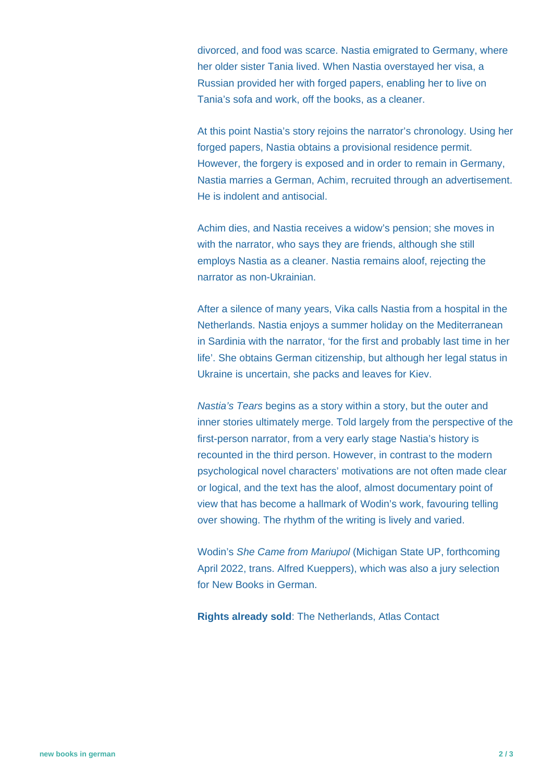divorced, and food was scarce. Nastia emigrated to Germany, where her older sister Tania lived. When Nastia overstayed her visa, a Russian provided her with forged papers, enabling her to live on Tania's sofa and work, off the books, as a cleaner.

At this point Nastia's story rejoins the narrator's chronology. Using her forged papers, Nastia obtains a provisional residence permit. However, the forgery is exposed and in order to remain in Germany, Nastia marries a German, Achim, recruited through an advertisement. He is indolent and antisocial.

Achim dies, and Nastia receives a widow's pension; she moves in with the narrator, who says they are friends, although she still employs Nastia as a cleaner. Nastia remains aloof, rejecting the narrator as non-Ukrainian.

After a silence of many years, Vika calls Nastia from a hospital in the Netherlands. Nastia enjoys a summer holiday on the Mediterranean in Sardinia with the narrator, 'for the first and probably last time in her life'. She obtains German citizenship, but although her legal status in Ukraine is uncertain, she packs and leaves for Kiev.

Nastia's Tears begins as a story within a story, but the outer and inner stories ultimately merge. Told largely from the perspective of the first-person narrator, from a very early stage Nastia's history is recounted in the third person. However, in contrast to the modern psychological novel characters' motivations are not often made clear or logical, and the text has the aloof, almost documentary point of view that has become a hallmark of Wodin's work, favouring telling over showing. The rhythm of the writing is lively and varied.

Wodin's She Came from Mariupol (Michigan State UP, forthcoming April 2022, trans. Alfred Kueppers), which was also a jury selection for New Books in German.

**Rights already sold**: The Netherlands, Atlas Contact